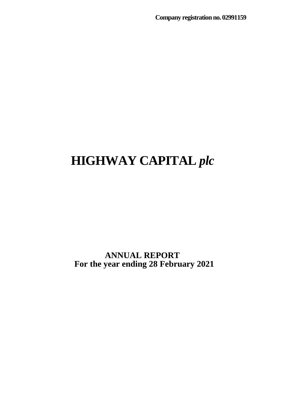**ANNUAL REPORT For the year ending 28 February 2021**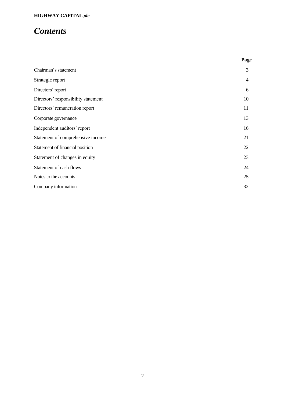## *Contents*

|                                     | Page           |
|-------------------------------------|----------------|
| Chairman's statement                | 3              |
| Strategic report                    | $\overline{4}$ |
| Directors' report                   | 6              |
| Directors' responsibility statement | 10             |
| Directors' remuneration report      | 11             |
| Corporate governance                | 13             |
| Independent auditors' report        | 16             |
| Statement of comprehensive income   | 21             |
| Statement of financial position     | 22             |
| Statement of changes in equity      | 23             |
| Statement of cash flows             | 24             |
| Notes to the accounts               | 25             |
| Company information                 | 32             |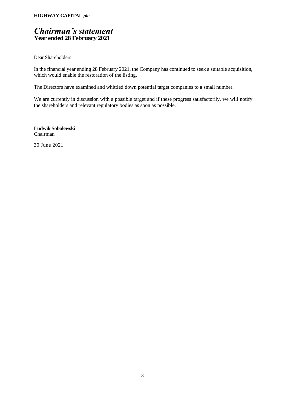## *Chairman's statement* **Year ended 28 February 2021**

Dear Shareholders

In the financial year ending 28 February 2021, the Company has continued to seek a suitable acquisition, which would enable the restoration of the listing.

The Directors have examined and whittled down potential target companies to a small number.

We are currently in discussion with a possible target and if these progress satisfactorily, we will notify the shareholders and relevant regulatory bodies as soon as possible.

**Ludwik Sobolewski** Chairman

30 June 2021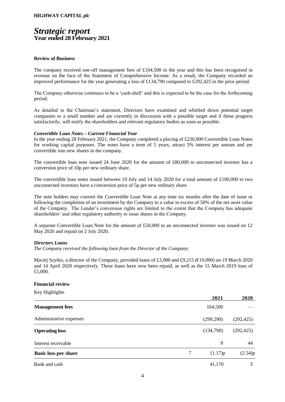## *Strategic report* **Year ended 28 February 2021**

#### **Review of Business**

The company received one-off management fees of £164,500 in the year and this has been recognised in revenue on the face of the Statement of Comprehensive Income. As a result, the Company recorded an improved performance for the year generating a loss of £134,790 compared to £292,425 in the prior period.

The Company otherwise continues to be a 'cash-shell' and this is expected to be the case for the forthcoming period.

As detailed in the Chairman's statement, Directors have examined and whittled down potential target companies to a small number and are currently in discussion with a possible target and if these progress satisfactorily, will notify the shareholders and relevant regulatory bodies as soon as possible.

#### *Convertible Loan Notes – Current Financial Year*

In the year ending 28 February 2021, the Company completed a placing of £230,000 Convertible Loan Notes for working capital purposes. The notes have a term of 5 years, attract 5% interest per annum and are convertible into new shares in the company.

The convertible loan note issued 24 June 2020 for the amount of £80,000 to unconnected investor has a conversion price of 10p per new ordinary share.

The convertible loan notes issued between 10 July and 14 July 2020 for a total amount of £100,000 to two unconnected investors have a conversion price of 5p per new ordinary share.

The note holders may convert the Convertible Loan Note at any time six months after the date of issue or following the completion of an investment by the Company to a value in excess of 50% of the net asset value of the Company. The Lender's conversion rights are limited to the extent that the Company has adequate shareholders' and other regulatory authority to issue shares in the Company.

A separate Convertible Loan Note for the amount of £50,000 to an unconnected investor was issued on 12 May 2020 and repaid on 2 July 2020.

#### *Directors Loans*

*The Company received the following loan from the Director of the Company:*

Maciej Szytko, a director of the Company, provided loans of £3,900 and £9,215 (€10,000) on 19 March 2020 and 14 April 2020 respectively. These loans have now been repaid, as well as the 15 March 2019 loan of £5,000.

#### **Financial review**

Key Highlights

|                             |   | 2021       | 2020       |
|-----------------------------|---|------------|------------|
| <b>Management</b> fees      |   | 164,500    |            |
| Administrative expenses     |   | (299, 290) | (292, 425) |
| <b>Operating loss</b>       |   | (134,790)  | (292, 425) |
| Interest receivable         |   | 9          | 44         |
| <b>Basic loss per share</b> | 7 | (1.17)p    | (2.54)p    |
| Bank and cash               |   | 41,170     | 3          |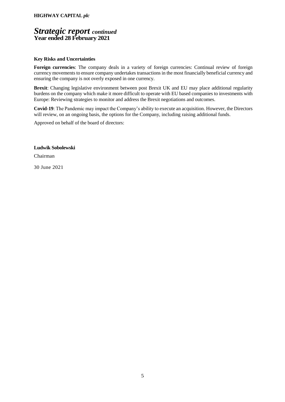## *Strategic report continued* **Year ended 28 February 2021**

#### **Key Risks and Uncertainties**

**Foreign currencies**: The company deals in a variety of foreign currencies: Continual review of foreign currency movements to ensure company undertakes transactions in the most financially beneficial currency and ensuring the company is not overly exposed in one currency.

**Brexit**: Changing legislative environment between post Brexit UK and EU may place additional regularity burdens on the company which make it more difficult to operate with EU based companies to investments with Europe: Reviewing strategies to monitor and address the Brexit negotiations and outcomes.

**Covid-19**: The Pandemic may impact the Company's ability to execute an acquisition. However, the Directors will review, on an ongoing basis, the options for the Company, including raising additional funds.

Approved on behalf of the board of directors:

**Ludwik Sobolewski**

Chairman

30 June 2021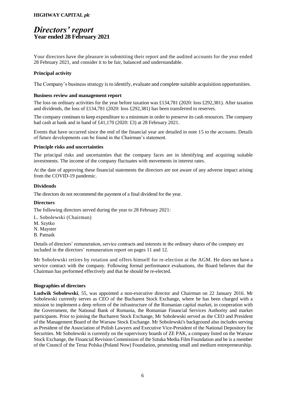## *Directors' report* **Year ended 28 February 2021**

Your directors have the pleasure in submitting their report and the audited accounts for the year ended 28 February 2021, and consider it to be fair, balanced and understandable.

#### **Principal activity**

The Company's business strategy is to identify, evaluate and complete suitable acquisition opportunities.

#### **Business review and management report**

The loss on ordinary activities for the year before taxation was £134,781 (2020: loss £292,381). After taxation and dividends, the loss of £134,781 (2020: loss £292,381) has been transferred to reserves.

The company continues to keep expenditure to a minimum in order to preserve its cash resources. The company had cash at bank and in hand of £41,170 (2020: £3) at 28 February 2021.

Events that have occurred since the end of the financial year are detailed in note 15 to the accounts. Details of future developments can be found in the Chairman's statement.

#### **Principle risks and uncertainties**

The principal risks and uncertainties that the company faces are in identifying and acquiring suitable investments. The income of the company fluctuates with movements in interest rates.

At the date of approving these financial statements the directors are not aware of any adverse impact arising from the COVID-19 pandemic.

#### **Dividends**

The directors do not recommend the payment of a final dividend for the year.

#### **Directors**

The following directors served during the year to 28 February 2021:

- L. Sobolewski (Chairman)
- M. Szytko
- N. Mayster
- B. Patnaik

Details of directors' remuneration, service contracts and interests in the ordinary shares of the company are included in the directors' remuneration report on pages 11 and 12.

Mr Sobolewski retires by rotation and offers himself for re-election at the AGM. He does not have a service contract with the company. Following formal performance evaluations, the Board believes that the Chairman has performed effectively and that he should be re-elected.

#### **Biographies of directors**

**Ludwik Sobolewski**, 55, was appointed a non-executive director and Chairman on 22 January 2016. Mr Sobolewski currently serves as CEO of the Bucharest Stock Exchange, where he has been charged with a mission to implement a deep reform of the infrastructure of the Romanian capital market, in cooperation with the Government, the National Bank of Romania, the Romanian Financial Services Authority and market participants. Prior to joining the Bucharest Stock Exchange, Mr Sobolewski served as the CEO and President of the Management Board of the Warsaw Stock Exchange. Mr Sobolewski's background also includes serving as President of the Association of Polish Lawyers and Executive Vice-President of the National Depository for Securities. Mr Sobolewski is currently on the supervisory boards of ZE PAK, a company listed on the Warsaw Stock Exchange, the Financial Revision Commission of the Sztuka Media Film Foundation and he is a member of the Council of the Teraz Polska (Poland Now) Foundation, promoting small and medium entrepreneurship.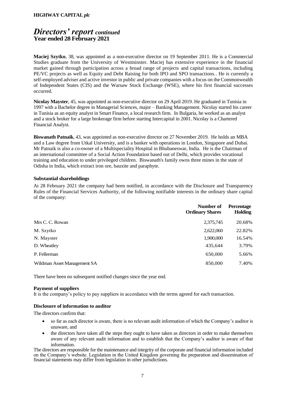## *Directors' report continued* **Year ended 28 February 2021**

**Maciej Szytko**, 38, was appointed as a non-executive director on 19 September 2011. He is a Commercial Studies graduate from the University of Westminster. Maciej has extensive experience in the financial market gained through participation across a broad range of projects and capital transactions, including PE/VC projects as well as Equity and Debt Raising for both IPO and SPO transactions.. He is currently a self-employed adviser and active investor in public and private companies with a focus on the Commonwealth of Independent States (CIS) and the Warsaw Stock Exchange (WSE), where his first financial successes occurred.

**Nicolay Mayster**, 45, was appointed as non-executive director on 29 April 2019. He graduated in Tunisia in 1997 with a Bachelor degree in Managerial Sciences, major – Banking Management. Nicolay started his career in Tunisia as an equity analyst in Smart Finance, a local research firm. In Bulgaria, he worked as an analyst and a stock broker for a large brokerage firm before starting Intercapital in 2001. Nicolay is a Chartered Financial Analyst.

**Biswanath Patnaik**, 43, was appointed as non-executive director on 27 November 2019. He holds an MBA and a Law degree from Utkal University, and is a banker with operations in London, Singapore and Dubai. Mr Patnaik is also a co-owner of a Multispeciality Hospital in Bhubaneswar, India. He is the Chairman of an international committee of a Social Action Foundation based out of Delhi, which provides vocational training and education to under privileged children. Biswanath's family owns three mines in the state of Odisha in India, which extract iron ore, bauxite and paraphyte.

#### **Substantial shareholdings**

At 28 February 2021 the company had been notified, in accordance with the Disclosure and Transparency Rules of the Financial Services Authority, of the following notifiable interests in the ordinary share capital of the company:

|                             | Number of<br><b>Ordinary Shares</b> | Percentage<br><b>Holding</b> |
|-----------------------------|-------------------------------------|------------------------------|
| Mrs C. C. Rowan             | 2,375,745                           | 20.68%                       |
| M. Szytko                   | 2,622,060                           | 22.82%                       |
| N. Mayster                  | 1,900,000                           | 16.54%                       |
| D. Wheatley                 | 435,644                             | 3.79%                        |
| P. Fellerman                | 650,000                             | 5.66%                        |
| Wildman Asset Management SA | 850,000                             | 7.40%                        |

There have been no subsequent notified changes since the year end.

#### **Payment of suppliers**

It is the company's policy to pay suppliers in accordance with the terms agreed for each transaction.

#### **Disclosure of information to auditor**

The directors confirm that:

- so far as each director is aware, there is no relevant audit information of which the Company's auditor is unaware, and
- the directors have taken all the steps they ought to have taken as directors in order to make themselves aware of any relevant audit information and to establish that the Company's auditor is aware of that information.

The directors are responsible for the maintenance and integrity of the corporate and financial information included on the Company's website. Legislation in the United Kingdom governing the preparation and dissemination of financial statements may differ from legislation in other jurisdictions.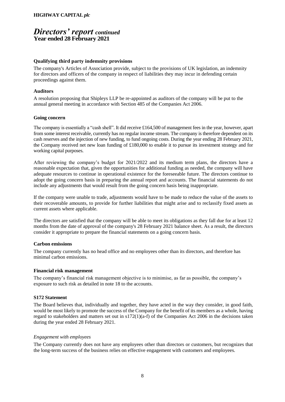## *Directors' report continued* **Year ended 28 February 2021**

#### **Qualifying third party indemnity provisions**

The company's Articles of Association provide, subject to the provisions of UK legislation, an indemnity for directors and officers of the company in respect of liabilities they may incur in defending certain proceedings against them.

#### **Auditors**

A resolution proposing that Shipleys LLP be re-appointed as auditors of the company will be put to the annual general meeting in accordance with Section 485 of the Companies Act 2006.

#### **Going concern**

The company is essentially a "cash shell". It did receive £164,500 of management fees in the year, however, apart from some interest receivable, currently has no regular income stream. The company is therefore dependent on its cash reserves and the injection of new funding, to fund ongoing costs. During the year ending 28 February 2021, the Company received net new loan funding of £180,000 to enable it to pursue its investment strategy and for working capital purposes.

After reviewing the company's budget for 2021/2022 and its medium term plans, the directors have a reasonable expectation that, given the opportunities for additional funding as needed, the company will have adequate resources to continue in operational existence for the foreseeable future. The directors continue to adopt the going concern basis in preparing the annual report and accounts. The financial statements do not include any adjustments that would result from the going concern basis being inappropriate.

If the company were unable to trade, adjustments would have to be made to reduce the value of the assets to their recoverable amounts, to provide for further liabilities that might arise and to reclassify fixed assets as current assets where applicable.

The directors are satisfied that the company will be able to meet its obligations as they fall due for at least 12 months from the date of approval of the company's 28 February 2021 balance sheet. As a result, the directors consider it appropriate to prepare the financial statements on a going concern basis.

#### **Carbon emissions**

The company currently has no head office and no employees other than its directors, and therefore has minimal carbon emissions.

#### **Financial risk management**

The company's financial risk management objective is to minimise, as far as possible, the company's exposure to such risk as detailed in note 18 to the accounts.

#### **S172 Statement**

The Board believes that, individually and together, they have acted in the way they consider, in good faith, would be most likely to promote the success of the Company for the benefit of its members as a whole, having regard to stakeholders and matters set out in s172(1)(a-f) of the Companies Act 2006 in the decisions taken during the year ended 28 February 2021.

#### *Engagement with employees*

The Company currently does not have any employees other than directors or customers, but recognizes that the long-term success of the business relies on effective engagement with customers and employees.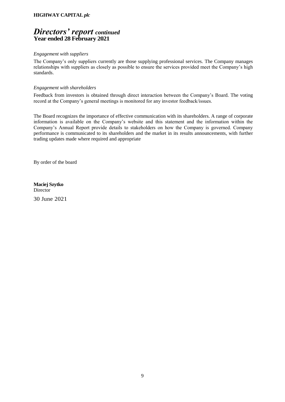## *Directors' report continued* **Year ended 28 February 2021**

#### *Engagement with suppliers*

The Company's only suppliers currently are those supplying professional services. The Company manages relationships with suppliers as closely as possible to ensure the services provided meet the Company's high standards.

#### *Engagement with shareholders*

Feedback from investors is obtained through direct interaction between the Company's Board. The voting record at the Company's general meetings is monitored for any investor feedback/issues.

The Board recognizes the importance of effective communication with its shareholders. A range of corporate information is available on the Company's website and this statement and the information within the Company's Annual Report provide details to stakeholders on how the Company is governed. Company performance is communicated to its shareholders and the market in its results announcements, with further trading updates made where required and appropriate

By order of the board

**Maciej Szytko Director** 

30 June 2021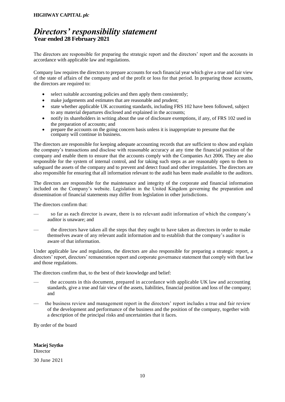## *Directors' responsibility statement* **Year ended 28 February 2021**

The directors are responsible for preparing the strategic report and the directors' report and the accounts in accordance with applicable law and regulations.

Company law requires the directors to prepare accounts for each financial year which give a true and fair view of the state of affairs of the company and of the profit or loss for that period. In preparing those accounts, the directors are required to:

- select suitable accounting policies and then apply them consistently;
- make judgements and estimates that are reasonable and prudent;
- state whether applicable UK accounting standards, including FRS 102 have been followed, subject to any material departures disclosed and explained in the accounts;
- notify its shareholders in writing about the use of disclosure exemptions, if any, of FRS 102 used in the preparation of accounts; and
- prepare the accounts on the going concern basis unless it is inappropriate to presume that the company will continue in business.

The directors are responsible for keeping adequate accounting records that are sufficient to show and explain the company's transactions and disclose with reasonable accuracy at any time the financial position of the company and enable them to ensure that the accounts comply with the Companies Act 2006. They are also responsible for the system of internal control, and for taking such steps as are reasonably open to them to safeguard the assets of the company and to prevent and detect fraud and other irregularities. The directors are also responsible for ensuring that all information relevant to the audit has been made available to the auditors.

The directors are responsible for the maintenance and integrity of the corporate and financial information included on the Company's website. Legislation in the United Kingdom governing the preparation and dissemination of financial statements may differ from legislation in other jurisdictions.

The directors confirm that:

- so far as each director is aware, there is no relevant audit information of which the company's auditor is unaware; and
- the directors have taken all the steps that they ought to have taken as directors in order to make themselves aware of any relevant audit information and to establish that the company's auditor is aware of that information.

Under applicable law and regulations, the directors are also responsible for preparing a strategic report, a directors' report, directors' remuneration report and corporate governance statement that comply with that law and those regulations.

The directors confirm that, to the best of their knowledge and belief:

- the accounts in this document, prepared in accordance with applicable UK law and accounting standards, give a true and fair view of the assets, liabilities, financial position and loss of the company; and
- the business review and management report in the directors' report includes a true and fair review of the development and performance of the business and the position of the company, together with a description of the principal risks and uncertainties that it faces.

By order of the board

**Maciej Szytko Director** 

30 June 2021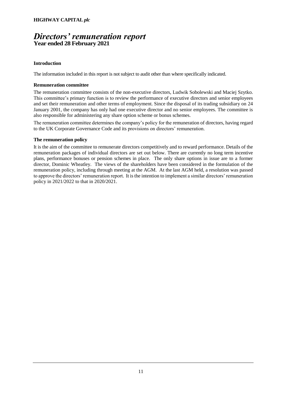## *Directors' remuneration report* **Year ended 28 February 2021**

#### **Introduction**

The information included in this report is not subject to audit other than where specifically indicated.

#### **Remuneration committee**

The remuneration committee consists of the non-executive directors, Ludwik Sobolewski and Maciej Szytko. This committee's primary function is to review the performance of executive directors and senior employees and set their remuneration and other terms of employment. Since the disposal of its trading subsidiary on 24 January 2001, the company has only had one executive director and no senior employees. The committee is also responsible for administering any share option scheme or bonus schemes.

The remuneration committee determines the company's policy for the remuneration of directors, having regard to the UK Corporate Governance Code and its provisions on directors' remuneration.

#### **The remuneration policy**

It is the aim of the committee to remunerate directors competitively and to reward performance. Details of the remuneration packages of individual directors are set out below. There are currently no long term incentive plans, performance bonuses or pension schemes in place. The only share options in issue are to a former director, Dominic Wheatley. The views of the shareholders have been considered in the formulation of the remuneration policy, including through meeting at the AGM. At the last AGM held, a resolution was passed to approve the directors' remuneration report. It is the intention to implement a similar directors' remuneration policy in 2021/2022 to that in 2020/2021.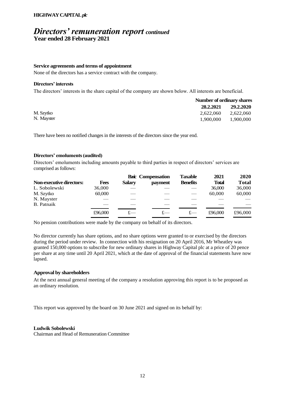## *Directors' remuneration report continued* **Year ended 28 February 2021**

#### **Service agreements and terms of appointment**

None of the directors has a service contract with the company.

#### **Directors' interests**

The directors' interests in the share capital of the company are shown below. All interests are beneficial.

|            |           | Number of ordinary shares |  |  |
|------------|-----------|---------------------------|--|--|
|            | 28.2.2021 | 29.2.2020                 |  |  |
| M. Szytko  | 2.622.060 | 2.622.060                 |  |  |
| N. Mayster | 1.900.000 | 1.900.000                 |  |  |

There have been no notified changes in the interests of the directors since the year end.

#### **Directors' emoluments (audited)**

Directors' emoluments including amounts payable to third parties in respect of directors' services are comprised as follows:

|                          |         |               | <b>Basic Compensation</b> | Taxable         | 2021         | 2020         |
|--------------------------|---------|---------------|---------------------------|-----------------|--------------|--------------|
| Non-executive directors: | Fees    | <b>Salary</b> | payment                   | <b>Benefits</b> | <b>Total</b> | <b>Total</b> |
| L. Sobolewski            | 36,000  |               |                           |                 | 36,000       | 36,000       |
| M. Szytko                | 60,000  |               |                           |                 | 60,000       | 60,000       |
| N. Mayster               |         |               |                           |                 |              |              |
| <b>B.</b> Patnaik        |         |               |                           |                 |              |              |
|                          | £96,000 | f —           |                           |                 | £96,000      | £96,000      |

No pension contributions were made by the company on behalf of its directors.

No director currently has share options, and no share options were granted to or exercised by the directors during the period under review. In connection with his resignation on 20 April 2016, Mr Wheatley was granted 150,000 options to subscribe for new ordinary shares in Highway Capital plc at a price of 20 pence per share at any time until 20 April 2021, which at the date of approval of the financial statements have now lapsed.

#### **Approval by shareholders**

At the next annual general meeting of the company a resolution approving this report is to be proposed as an ordinary resolution.

This report was approved by the board on 30 June 2021 and signed on its behalf by:

#### **Ludwik Sobolewski**

Chairman and Head of Remuneration Committee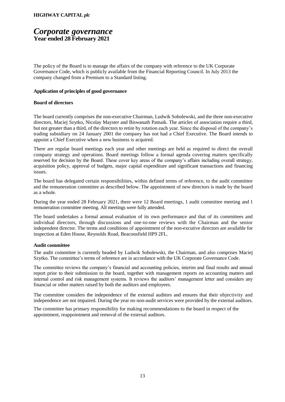### *Corporate governance* **Year ended 28 February 2021**

The policy of the Board is to manage the affairs of the company with reference to the UK Corporate Governance Code, which is publicly available from the Financial Reporting Council. In July 2013 the company changed from a Premium to a Standard listing.

#### **Application of principles of good governance**

#### **Board of directors**

The board currently comprises the non-executive Chairman, Ludwik Sobolewski, and the three non-executive directors, Maciej Szytko, Nicolay Mayster and Biswanath Patnaik. The articles of association require a third, but not greater than a third, of the directors to retire by rotation each year. Since the disposal of the company's trading subsidiary on 24 January 2001 the company has not had a Chief Executive. The Board intends to appoint a Chief Executive when a new business is acquired.

There are regular board meetings each year and other meetings are held as required to direct the overall company strategy and operations. Board meetings follow a formal agenda covering matters specifically reserved for decision by the Board. These cover key areas of the company's affairs including overall strategy, acquisition policy, approval of budgets, major capital expenditure and significant transactions and financing issues.

The board has delegated certain responsibilities, within defined terms of reference, to the audit committee and the remuneration committee as described below. The appointment of new directors is made by the board as a whole.

During the year ended 28 February 2021, there were 12 Board meetings, 1 audit committee meeting and 1 remuneration committee meeting. All meetings were fully attended.

The board undertakes a formal annual evaluation of its own performance and that of its committees and individual directors, through discussions and one-to-one reviews with the Chairman and the senior independent director. The terms and conditions of appointment of the non-excutive directors are available for inspection at Eden House, Reynolds Road, Beaconsfield HP9 2FL.

#### **Audit committee**

The audit committee is currently headed by Ludwik Sobolewski, the Chairman, and also comprises Maciej Szytko. The committee's terms of reference are in accordance with the UK Corporate Governance Code.

The committee reviews the company's financial and accounting policies, interim and final results and annual report prior to their submission to the board, together with management reports on accounting matters and internal control and risk management systems. It reviews the auditors' management letter and considers any financial or other matters raised by both the auditors and employees.

The committee considers the independence of the external auditors and ensures that their objectivity and independence are not impaired. During the year no non-audit services were provided by the external auditors.

The committee has primary responsibility for making recommendations to the board in respect of the appointment, reappointment and removal of the external auditors.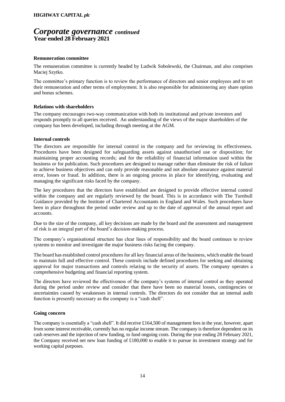### *Corporate governance continued* **Year ended 28 February 2021**

#### **Remuneration committee**

The remuneration committee is currently headed by Ludwik Sobolewski, the Chairman, and also comprises Maciej Szytko.

The committee's primary function is to review the performance of directors and senior employees and to set their remuneration and other terms of employment. It is also responsible for administering any share option and bonus schemes.

#### **Relations with shareholders**

The company encourages two-way communication with both its institutional and private investors and responds promptly to all queries received. An understanding of the views of the major shareholders of the company has been developed, including through meeting at the AGM.

#### **Internal controls**

The directors are responsible for internal control in the company and for reviewing its effectiveness. Procedures have been designed for safeguarding assets against unauthorised use or disposition; for maintaining proper accounting records; and for the reliability of financial information used within the business or for publication. Such procedures are designed to manage rather than eliminate the risk of failure to achieve business objectives and can only provide reasonable and not absolute assurance against material error, losses or fraud. In addition, there is an ongoing process in place for identifying, evaluating and managing the significant risks faced by the company.

The key procedures that the directors have established are designed to provide effective internal control within the company and are regularly reviewed by the board. This is in accordance with The Turnbull Guidance provided by the Institute of Chartered Accountants in England and Wales. Such procedures have been in place throughout the period under review and up to the date of approval of the annual report and accounts.

Due to the size of the company, all key decisions are made by the board and the assessment and management of risk is an integral part of the board's decision-making process.

The company's organisational structure has clear lines of responsibility and the board continues to review systems to monitor and investigate the major business risks facing the company.

The board has established control procedures for all key financial areas of the business, which enable the board to maintain full and effective control. These controls include defined procedures for seeking and obtaining approval for major transactions and controls relating to the security of assets. The company operates a comprehensive budgeting and financial reporting system.

The directors have reviewed the effectiveness of the company's systems of internal control as they operated during the period under review and consider that there have been no material losses, contingencies or uncertainties caused by weaknesses in internal controls. The directors do not consider that an internal audit function is presently necessary as the company is a "cash shell".

#### **Going concern**

The company is essentially a "cash shell". It did receive £164,500 of management fees in the year, however, apart from some interest receivable, currently has no regular income stream. The company is therefore dependent on its cash reserves and the injection of new funding, to fund ongoing costs. During the year ending 28 February 2021, the Company received net new loan funding of £180,000 to enable it to pursue its investment strategy and for working capital purposes.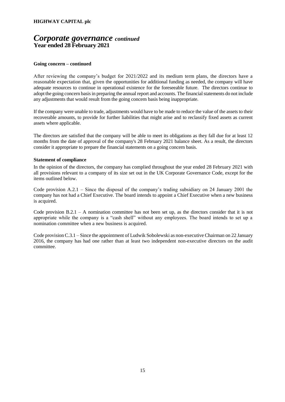### *Corporate governance continued* **Year ended 28 February 2021**

#### **Going concern – continued**

After reviewing the company's budget for 2021/2022 and its medium term plans, the directors have a reasonable expectation that, given the opportunities for additional funding as needed, the company will have adequate resources to continue in operational existence for the foreseeable future. The directors continue to adopt the going concern basis in preparing the annual report and accounts. The financialstatements do not include any adjustments that would result from the going concern basis being inappropriate.

If the company were unable to trade, adjustments would have to be made to reduce the value of the assets to their recoverable amounts, to provide for further liabilities that might arise and to reclassify fixed assets as current assets where applicable.

The directors are satisfied that the company will be able to meet its obligations as they fall due for at least 12 months from the date of approval of the company's 28 February 2021 balance sheet. As a result, the directors consider it appropriate to prepare the financial statements on a going concern basis.

#### **Statement of compliance**

In the opinion of the directors, the company has complied throughout the year ended 28 February 2021 with all provisions relevant to a company of its size set out in the UK Corporate Governance Code, except for the items outlined below.

Code provision A.2.1 – Since the disposal of the company's trading subsidiary on 24 January 2001 the company has not had a Chief Executive. The board intends to appoint a Chief Executive when a new business is acquired.

Code provision  $B.2.1 - A$  nomination committee has not been set up, as the directors consider that it is not appropriate while the company is a "cash shell" without any employees. The board intends to set up a nomination committee when a new business is acquired.

Code provision C.3.1 – Since the appointment of Ludwik Sobolewski as non-executive Chairman on 22 January 2016, the company has had one rather than at least two independent non-executive directors on the audit committee.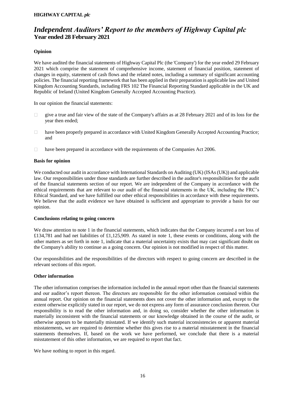## *Independent Auditors' Report to the members of Highway Capital plc* **Year ended 28 February 2021**

#### **Opinion**

We have audited the financial statements of Highway Capital Plc (the 'Company') for the year ended 29 February 2021 which comprise the statement of comprehensive income, statement of financial position, statement of changes in equity, statement of cash flows and the related notes, including a summary of significant accounting policies. The financial reporting framework that has been applied in their preparation is applicable law and United Kingdom Accounting Standards, including FRS 102 The Financial Reporting Standard applicable in the UK and Republic of Ireland (United Kingdom Generally Accepted Accounting Practice).

In our opinion the financial statements:

- give a true and fair view of the state of the Company's affairs as at 28 February 2021 and of its loss for the  $\Box$ year then ended;
- have been properly prepared in accordance with United Kingdom Generally Accepted Accounting Practice;  $\Box$ and
- have been prepared in accordance with the requirements of the Companies Act 2006.  $\Box$

#### **Basis for opinion**

We conducted our audit in accordance with International Standards on Auditing (UK) (ISAs (UK)) and applicable law. Our responsibilities under those standards are further described in the auditor's responsibilities for the audit of the financial statements section of our report. We are independent of the Company in accordance with the ethical requirements that are relevant to our audit of the financial statements in the UK, including the FRC's Ethical Standard, and we have fulfilled our other ethical responsibilities in accordance with these requirements. We believe that the audit evidence we have obtained is sufficient and appropriate to provide a basis for our opinion.

#### **Conclusions relating to going concern**

We draw attention to note 1 in the financial statements, which indicates that the Company incurred a net loss of £134,781 and had net liabilities of £1,125,909. As stated in note 1, these events or conditions, along with the other matters as set forth in note 1, indicate that a material uncertainty exists that may cast significant doubt on the Company's ability to continue as a going concern. Our opinion is not modified in respect of this matter.

Our responsibilities and the responsibilities of the directors with respect to going concern are described in the relevant sections of this report.

#### **Other information**

The other information comprises the information included in the annual report other than the financial statements and our auditor's report thereon. The directors are responsible for the other information contained within the annual report. Our opinion on the financial statements does not cover the other information and, except to the extent otherwise explicitly stated in our report, we do not express any form of assurance conclusion thereon. Our responsibility is to read the other information and, in doing so, consider whether the other information is materially inconsistent with the financial statements or our knowledge obtained in the course of the audit, or otherwise appears to be materially misstated. If we identify such material inconsistencies or apparent material misstatements, we are required to determine whether this gives rise to a material misstatement in the financial statements themselves. If, based on the work we have performed, we conclude that there is a material misstatement of this other information, we are required to report that fact.

We have nothing to report in this regard.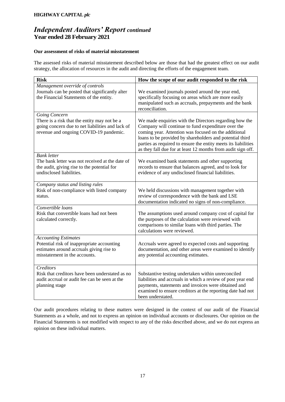## *Independent Auditors' Report continued* **Year ended 28 February 2021**

#### **Our assessment of risks of material misstatement**

The assessed risks of material misstatement described below are those that had the greatest effect on our audit strategy, the allocation of resources in the audit and directing the efforts of the engagement team.

| <b>Risk</b>                                                                                                                                                 | How the scope of our audit responded to the risk                                                                                                                                                                                                                                                                                                                   |
|-------------------------------------------------------------------------------------------------------------------------------------------------------------|--------------------------------------------------------------------------------------------------------------------------------------------------------------------------------------------------------------------------------------------------------------------------------------------------------------------------------------------------------------------|
| Management override of controls<br>Journals can be posted that significantly alter<br>the Financial Statements of the entity.                               | We examined journals posted around the year end,<br>specifically focusing on areas which are more easily<br>manipulated such as accruals, prepayments and the bank<br>reconciliation.                                                                                                                                                                              |
| Going Concern<br>There is a risk that the entity may not be a<br>going concern due to net liabilities and lack of<br>revenue and ongoing COVID-19 pandemic. | We made enquiries with the Directors regarding how the<br>Company will continue to fund expenditure over the<br>coming year. Attention was focused on the additional<br>loans to be provided by shareholders and potential third<br>parties as required to ensure the entity meets its liabilities<br>as they fall due for at least 12 months from audit sign off. |
| <b>Bank</b> letter<br>The bank letter was not received at the date of<br>the audit, giving rise to the potential for<br>undisclosed liabilities.            | We examined bank statements and other supporting<br>records to ensure that balances agreed, and to look for<br>evidence of any undisclosed financial liabilities.                                                                                                                                                                                                  |
| Company status and listing rules<br>Risk of non-compliance with listed company<br>status.                                                                   | We held discussions with management together with<br>review of correspondence with the bank and LSE<br>documentation indicated no signs of non-compliance.                                                                                                                                                                                                         |
| Convertible loans<br>Risk that convertible loans had not been<br>calculated correctly.                                                                      | The assumptions used around company cost of capital for<br>the purposes of the calculation were reviewed with<br>comparisons to similar loans with third parties. The<br>calculations were reviewed.                                                                                                                                                               |
| <b>Accounting Estimates</b><br>Potential risk of inappropriate accounting<br>estimates around accruals giving rise to<br>misstatement in the accounts.      | Accruals were agreed to expected costs and supporting<br>documentation, and other areas were examined to identify<br>any potential accounting estimates.                                                                                                                                                                                                           |
| Creditors<br>Risk that creditors have been understated as no<br>audit accrual or audit fee can be seen at the<br>planning stage                             | Substantive testing undertaken within unreconciled<br>liabilities and accruals in which a review of post year end<br>payments, statements and invoices were obtained and<br>examined to ensure creditors at the reporting date had not<br>been understated.                                                                                                        |

Our audit procedures relating to these matters were designed in the context of our audit of the Financial Statements as a whole, and not to express an opinion on individual accounts or disclosures. Our opinion on the Financial Statements is not modified with respect to any of the risks described above, and we do not express an opinion on these individual matters.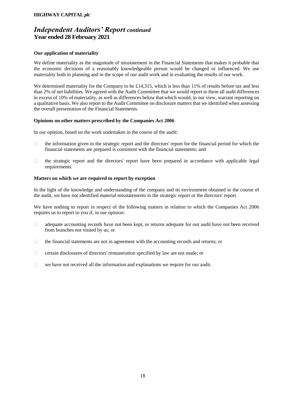### *Independent Auditors' Report continued* **Year ended 28 February 2021**

#### **Our application of materiality**

We define materiality as the magnitude of misstatement in the Financial Statements that makes it probable that the economic decisions of a reasonably knowledgeable person would be changed or influenced. We use materiality both in planning and in the scope of our audit work and in evaluating the results of our work.

We determined materiality for the Company to be £14,315, which is less than 11% of results before tax and less than 2% of net liabilities. We agreed with the Audit Committee that we would report to them all audit differences in excess of 10% of materiality, as well as differences below that which would, in our view, warrant reporting on a qualitative basis. We also report to the Audit Committee on disclosure matters that we identified when assessing the overall presentation of the Financial Statements.

#### **Opinions on other matters prescribed by the Companies Act 2006**

In our opinion, based on the work undertaken in the course of the audit:

- the information given in the strategic report and the directors' report for the financial period for which the  $\Box$ financial statements are prepared is consistent with the financial statements; and
- $\Box$ the strategic report and the directors' report have been prepared in accordance with applicable legal requirements.

#### **Matters on which we are required to report by exception**

In the light of the knowledge and understanding of the company and its environment obtained in the course of the audit, we have not identified material misstatements in the strategic report or the directors' report.

We have nothing to report in respect of the following matters in relation to which the Companies Act 2006 requires us to report to you if, in our opinion:

- $\Box$ adequate accounting records have not been kept, or returns adequate for our audit have not been received from branches not visited by us; or
- $\Box$ the financial statements are not in agreement with the accounting records and returns; or
- $\Box$ certain disclosures of directors' remuneration specified by law are not made; or
- we have not received all the information and explanations we require for our audit.  $\Box$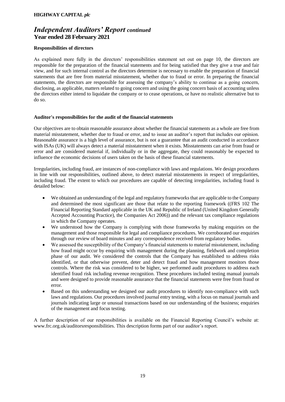## *Independent Auditors' Report continued* **Year ended 28 February 2021**

#### **Responsibilities of directors**

As explained more fully in the directors' responsibilities statement set out on page 10, the directors are responsible for the preparation of the financial statements and for being satisfied that they give a true and fair view, and for such internal control as the directors determine is necessary to enable the preparation of financial statements that are free from material misstatement, whether due to fraud or error. In preparing the financial statements, the directors are responsible for assessing the company's ability to continue as a going concern, disclosing, as applicable, matters related to going concern and using the going concern basis of accounting unless the directors either intend to liquidate the company or to cease operations, or have no realistic alternative but to do so.

#### **Auditor's responsibilities for the audit of the financial statements**

Our objectives are to obtain reasonable assurance about whether the financial statements as a whole are free from material misstatement, whether due to fraud or error, and to issue an auditor's report that includes our opinion. Reasonable assurance is a high level of assurance, but is not a guarantee that an audit conducted in accordance with ISAs (UK) will always detect a material misstatement when it exists. Misstatements can arise from fraud or error and are considered material if, individually or in the aggregate, they could reasonably be expected to influence the economic decisions of users taken on the basis of these financial statements.

Irregularities, including fraud, are instances of non-compliance with laws and regulations. We design procedures in line with our responsibilities, outlined above, to detect material misstatements in respect of irregularities, including fraud. The extent to which our procedures are capable of detecting irregularities, including fraud is detailed below:

- We obtained an understanding of the legal and regulatory frameworks that are applicable to the Company and determined the most significant are those that relate to the reporting framework ((FRS 102 The Financial Reporting Standard applicable in the UK and Republic of Ireland (United Kingdom Generally Accepted Accounting Practice), the Companies Act 2006)) and the relevant tax compliance regulations in which the Company operates.
- We understood how the Company is complying with those frameworks by making enquiries on the management and those responsible for legal and compliance procedures. We corroborated our enquiries through our review of board minutes and any correspondence received from regulatory bodies.
- We assessed the susceptibility of the Company's financial statements to material misstatement, including how fraud might occur by enquiring with management during the planning, fieldwork and completion phase of our audit. We considered the controls that the Company has established to address risks identified, or that otherwise prevent, deter and detect fraud and how management monitors those controls. Where the risk was considered to be higher, we performed audit procedures to address each identified fraud risk including revenue recognition. These procedures included testing manual journals and were designed to provide reasonable assurance that the financial statements were free from fraud or error.
- Based on this understanding we designed our audit procedures to identify non-compliance with such laws and regulations. Our procedures involved journal entry testing, with a focus on manual journals and journals indicating large or unusual transactions based on our understanding of the business; enquiries of the management and focus testing.

A further description of our responsibilities is available on the Financial Reporting Council's website at: www.frc.org.uk/auditorsresponsibilities. This description forms part of our auditor's report.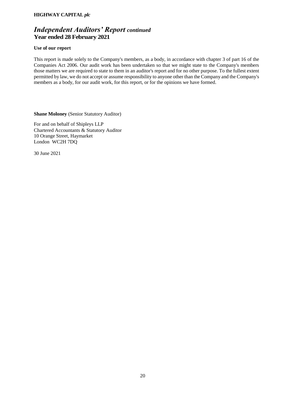## *Independent Auditors' Report continued* **Year ended 28 February 2021**

#### **Use of our report**

This report is made solely to the Company's members, as a body, in accordance with chapter 3 of part 16 of the Companies Act 2006. Our audit work has been undertaken so that we might state to the Company's members those matters we are required to state to them in an auditor's report and for no other purpose. To the fullest extent permitted by law, we do not accept or assume responsibility to anyone other than the Company and the Company's members as a body, for our audit work, for this report, or for the opinions we have formed.

**Shane Moloney** (Senior Statutory Auditor)

For and on behalf of Shipleys LLP Chartered Accountants & Statutory Auditor 10 Orange Street, Haymarket London WC2H 7DQ

30 June 2021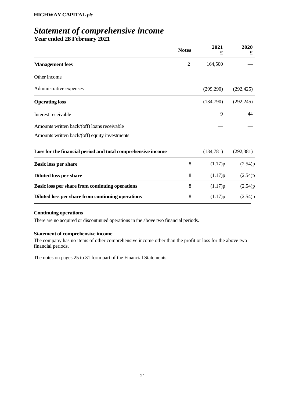## *Statement of comprehensive income* **Year ended 28 February 2021**

|                                                              | <b>Notes</b>   | 2021<br>£ | 2020<br>£  |
|--------------------------------------------------------------|----------------|-----------|------------|
| <b>Management</b> fees                                       | $\overline{2}$ | 164,500   |            |
| Other income                                                 |                |           |            |
| Administrative expenses                                      |                | (299,290) | (292, 425) |
| <b>Operating loss</b>                                        |                | (134,790) | (292, 245) |
| Interest receivable                                          |                | 9         | 44         |
| Amounts written back/(off) loans receivable                  |                |           |            |
| Amounts written back/(off) equity investments                |                |           |            |
| Loss for the financial period and total comprehensive income |                | (134,781) | (292, 381) |
| <b>Basic loss per share</b>                                  | 8              | (1.17)p   | (2.54)p    |
| <b>Diluted loss per share</b>                                | 8              | (1.17)p   | (2.54)p    |
| Basic loss per share from continuing operations              | 8              | (1.17)p   | (2.54)p    |
| Diluted loss per share from continuing operations            | 8              | (1.17)p   | (2.54)p    |

#### **Continuing operations**

There are no acquired or discontinued operations in the above two financial periods.

#### **Statement of comprehensive income**

The company has no items of other comprehensive income other than the profit or loss for the above two financial periods.

The notes on pages 25 to 31 form part of the Financial Statements.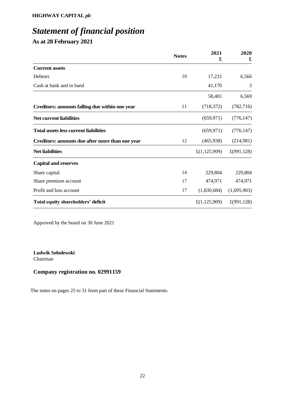# *Statement of financial position*

**As at 28 February 2021**

|                                                 | <b>Notes</b> | 2021<br>£    | 2020<br>£   |
|-------------------------------------------------|--------------|--------------|-------------|
| <b>Current assets</b>                           |              |              |             |
| Debtors                                         | 10           | 17,231       | 6,566       |
| Cash at bank and in hand                        |              | 41,170       | 3           |
|                                                 |              | 58,401       | 6,569       |
| Creditors: amounts falling due within one year  | 11           | (718, 372)   | (782, 716)  |
| <b>Net current liabilities</b>                  |              | (659, 971)   | (776, 147)  |
| <b>Total assets less current liabilities</b>    |              | (659, 971)   | (776, 147)  |
| Creditors: amounts due after more than one year | 12           | (465,938)    | (214,981)   |
| <b>Net liabilities</b>                          |              | £(1,125,909) | £(991, 128) |
| <b>Capital and reserves</b>                     |              |              |             |
| Share capital                                   | 14           | 229,804      | 229,804     |
| Share premium account                           | 17           | 474,971      | 474,971     |
| Profit and loss account                         | 17           | (1,830,684)  | (1,695,903) |
| Total equity shareholders' deficit              |              | £(1,125,909) | £(991, 128) |

Approved by the board on 30 June 2021

**Ludwik Sobolewski** Chairman

### **Company registration no. 02991159**

The notes on pages 25 to 31 form part of these Financial Statements.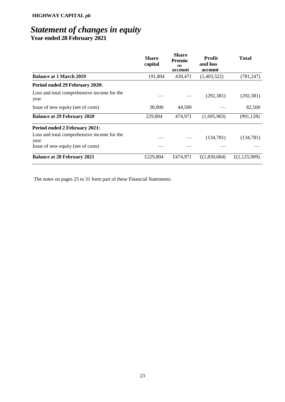## *Statement of changes in equity* **Year ended 28 February 2021**

|                                                     | Share<br>capital | <b>Share</b><br>Premiu<br>m<br>account | Profit<br>and loss<br>account | <b>Total</b>    |
|-----------------------------------------------------|------------------|----------------------------------------|-------------------------------|-----------------|
| <b>Balance at 1 March 2019</b>                      | 191,804          | 430,471                                | (1,403,522)                   | (781, 247)      |
| Period ended 29 February 2020:                      |                  |                                        |                               |                 |
| Loss and total comprehensive income for the<br>year |                  |                                        | (292, 381)                    | (292, 381)      |
| Issue of new equity (net of costs)                  | 38,000           | 44,500                                 |                               | 82,500          |
| <b>Balance at 29 February 2020</b>                  | 229,804          | 474.971                                | (1,695,903)                   | (991, 128)      |
| Period ended 2 February 2021:                       |                  |                                        |                               |                 |
| Loss and total comprehensive income for the<br>year |                  |                                        | (134, 781)                    | (134, 781)      |
| Issue of new equity (net of costs)                  |                  |                                        |                               |                 |
| <b>Balance at 28 February 2021</b>                  | £229,804         | £474,971                               | £ $(1,830,684)$               | £ $(1,125,909)$ |

The notes on pages 25 to 31 form part of these Financial Statements.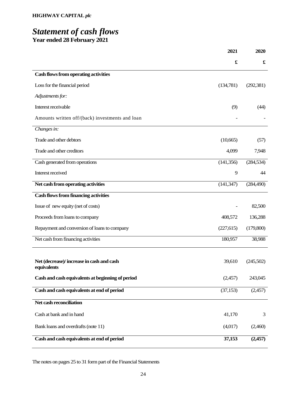## *Statement of cash flows* **Year ended 28 February 2021**

|                                                         | 2021                 | 2020               |
|---------------------------------------------------------|----------------------|--------------------|
|                                                         | $\pmb{\mathfrak{L}}$ | $\pmb{\mathbf{f}}$ |
| Cash flows from operating activities                    |                      |                    |
| Loss for the financial period                           | (134,781)            | (292, 381)         |
| Adjustments for:                                        |                      |                    |
| Interest receivable                                     | (9)                  | (44)               |
| Amounts written off/(back) investments and loan         |                      |                    |
| Changes in:                                             |                      |                    |
| Trade and other debtors                                 | (10,665)             | (57)               |
| Trade and other creditors                               | 4,099                | 7,948              |
| Cash generated from operations                          | (141, 356)           | (284, 534)         |
| Interest received                                       | 9                    | 44                 |
| Net cash from operating activities                      | (141, 347)           | (284, 490)         |
| <b>Cash flows from financing activities</b>             |                      |                    |
| Issue of new equity (net of costs)                      |                      | 82,500             |
| Proceeds from loans to company                          | 408,572              | 136,288            |
| Repayment and conversion of loans to company            | (227, 615)           | (179,800)          |
| Net cash from financing activities                      | 180,957              | 38,988             |
|                                                         |                      |                    |
| Net (decrease)/increase in cash and cash<br>equivalents | 39,610               | (245,502)          |
| Cash and cash equivalents at beginning of period        | (2,457)              | 243,045            |
| Cash and cash equivalents at end of period              | (37, 153)            | (2,457)            |
| Net cash reconciliation                                 |                      |                    |
| Cash at bank and in hand                                | 41,170               | 3                  |
| Bank loans and overdrafts (note 11)                     | (4,017)              | (2,460)            |
| Cash and cash equivalents at end of period              | 37,153               | (2,457)            |

The notes on pages 25 to 31 form part of the Financial Statements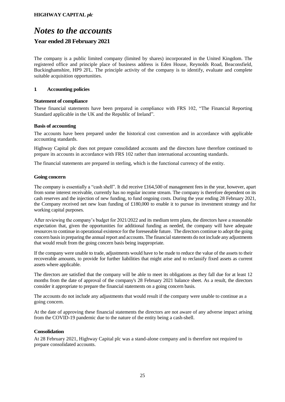## *Notes to the accounts*

### **Year ended 28 February 2021**

The company is a public limited company (limited by shares) incorporated in the United Kingdom. The registered office and principle place of business address is Eden House, Reynolds Road, Beaconsfield, Buckinghamshire, HP9 2FL. The principle activity of the company is to identify, evaluate and complete suitable acquisition opportunities.

#### **1. Accounting policies**

#### **Statement of compliance**

These financial statements have been prepared in compliance with FRS 102, "The Financial Reporting Standard applicable in the UK and the Republic of Ireland".

#### **Basis of accounting**

The accounts have been prepared under the historical cost convention and in accordance with applicable accounting standards.

Highway Capital plc does not prepare consolidated accounts and the directors have therefore continued to prepare its accounts in accordance with FRS 102 rather than international accounting standards.

The financial statements are prepared in sterling, which is the functional currency of the entity.

#### **Going concern**

The company is essentially a "cash shell". It did receive £164,500 of management fees in the year, however, apart from some interest receivable, currently has no regular income stream. The company is therefore dependent on its cash reserves and the injection of new funding, to fund ongoing costs. During the year ending 28 February 2021, the Company received net new loan funding of £180,000 to enable it to pursue its investment strategy and for working capital purposes.

After reviewing the company's budget for 2021/2022 and its medium term plans, the directors have a reasonable expectation that, given the opportunities for additional funding as needed, the company will have adequate resources to continue in operational existence for the foreseeable future. The directors continue to adopt the going concern basis in preparing the annual report and accounts. The financial statements do not include any adjustments that would result from the going concern basis being inappropriate.

If the company were unable to trade, adjustments would have to be made to reduce the value of the assets to their recoverable amounts, to provide for further liabilities that might arise and to reclassify fixed assets as current assets where applicable.

The directors are satisfied that the company will be able to meet its obligations as they fall due for at least 12 months from the date of approval of the company's 28 February 2021 balance sheet. As a result, the directors consider it appropriate to prepare the financial statements on a going concern basis.

The accounts do not include any adjustments that would result if the company were unable to continue as a going concern.

At the date of approving these financial statements the directors are not aware of any adverse impact arising from the COVID-19 pandemic due to the nature of the entity being a cash-shell.

#### **Consolidation**

At 28 February 2021, Highway Capital plc was a stand-alone company and is therefore not required to prepare consolidated accounts.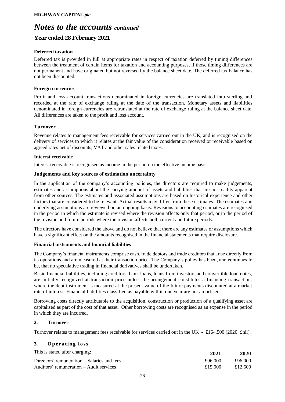## *Notes to the accounts continued*

### **Year ended 28 February 2021**

#### **Deferred taxation**

Deferred tax is provided in full at appropriate rates in respect of taxation deferred by timing differences between the treatment of certain items for taxation and accounting purposes, if those timing differences are not permanent and have originated but not reversed by the balance sheet date. The deferred tax balance has not been discounted.

#### **Foreign currencies**

Profit and loss account transactions denominated in foreign currencies are translated into sterling and recorded at the rate of exchange ruling at the date of the transaction. Monetary assets and liabilities denominated in foreign currencies are retranslated at the rate of exchange ruling at the balance sheet date. All differences are taken to the profit and loss account.

#### **Turnover**

Revenue relates to management fees receivable for services carried out in the UK, and is recognised on the delivery of services to which it relates at the fair value of the consideration received or receivable based on agreed rates net of discounts, VAT and other sales related taxes.

#### **Interest receivable**

Interest receivable is recognised as income in the period on the effective income basis.

#### **Judgements and key sources of estimation uncertainty**

In the application of the company's accounting policies, the directors are required to make judgements, estimates and assumptions about the carrying amount of assets and liabilities that are not readily apparent from other sources. The estimates and associated assumptions are based on historical experience and other factors that are considered to be relevant. Actual results may differ from these estimates. The estimates and underlying assumptions are reviewed on an ongoing basis. Revisions to accounting estimates are recognised in the period in which the estimate is revised where the revision affects only that period, or in the period of the revision and future periods where the revision affects both current and future periods.

The directors have considered the above and do not believe that there are any estimates or assumptions which have a significant effect on the amounts recognised in the financial statements that require disclosure.

#### **Financial instruments and financial liabilities**

The Company's financial instruments comprise cash, trade debtors and trade creditors that arise directly from its operations and are measured at their transaction price. The Company's policy has been, and continues to be, that no speculative trading in financial derivatives shall be undertaken.

Basic financial liabilities, including creditors, bank loans, loans from investors and convertible loan notes, are initially recognized at transaction price unless the arrangement constitutes a financing transaction, where the debt instrument is measured at the present value of the future payments discounted at a market rate of interest. Financial liabilities classified as payable within one year are not amortised.

Borrowing costs directly attributable to the acquisition, construction or production of a qualifying asset are capitalised as part of the cost of that asset. Other borrowing costs are recognised as an expense in the period in which they are incurred.

#### **2. Turnover**

Turnover relates to management fees receivable for services carried out in the UK - £164,500 (2020: £nil).

#### **3 . O p e r a tin g lo ss**

| This is stated after charging:              | 2021    | 2020    |
|---------------------------------------------|---------|---------|
| Directors' remuneration – Salaries and fees | £96.000 | £96.000 |
| Auditors' remuneration – Audit services     | £15,000 | £12.500 |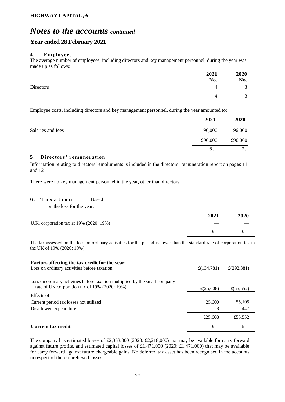## *Notes to the accounts continued*

### **Year ended 28 February 2021**

#### **4**. **Employees**

The average number of employees, including directors and key management personnel, during the year was made up as follows:

|           | 2021<br>No. | 2020<br>No.              |
|-----------|-------------|--------------------------|
| Directors |             | $\sim$<br>$\mathfrak{I}$ |
|           |             | $\bigcap$                |

Employee costs, including directors and key management personnel, during the year amounted to:

|                   | 2021    | 2020    |
|-------------------|---------|---------|
| Salaries and fees | 96,000  | 96,000  |
|                   | £96,000 | £96,000 |
|                   | 6.      | 7       |

#### **5 . Directors' remuneration**

Information relating to directors' emoluments is included in the directors' remuneration report on pages 11 and 12

There were no key management personnel in the year, other than directors.

#### **6 . T a x a t i o n** Based

on the loss for the year:

|                                         | 2021  | 2020 |
|-----------------------------------------|-------|------|
| U.K. corporation tax at 19% (2020: 19%) |       |      |
|                                         | $f$ — |      |

The tax assessed on the loss on ordinary activities for the period is lower than the standard rate of corporation tax in the UK of 19% (2020: 19%).

| Factors affecting the tax credit for the year<br>Loss on ordinary activities before taxation                                 | £(134,781)   | £ $(292, 381)$ |
|------------------------------------------------------------------------------------------------------------------------------|--------------|----------------|
| Loss on ordinary activities before taxation multiplied by the small company<br>rate of UK corporation tax of 19% (2020: 19%) | £ $(25,608)$ | £ $(55, 552)$  |
| Effects of:                                                                                                                  |              |                |
| Current period tax losses not utilized                                                                                       | 25,600       | 55,105         |
| Disallowed expenditure                                                                                                       | 8            | 447            |
|                                                                                                                              | £25,608      | £55,552        |
| <b>Current tax credit</b>                                                                                                    |              |                |

The company has estimated losses of £2,353,000 (2020: £2,218,000) that may be available for carry forward against future profits, and estimated capital losses of £1,471,000 (2020: £1,471,000) that may be available for carry forward against future chargeable gains. No deferred tax asset has been recognised in the accounts in respect of these unrelieved losses.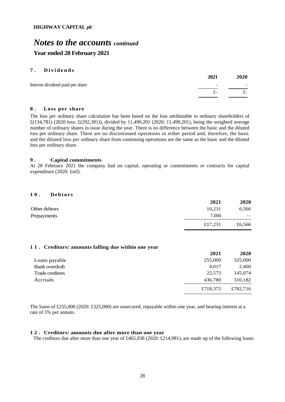## *Notes to the accounts continued* **Year ended 28 February 2021**

#### **7 . D i v i d e n d s**

|                                 | 2021                     | 2020                     |
|---------------------------------|--------------------------|--------------------------|
| Interim dividend paid per share | $\overline{\phantom{a}}$ | $\overline{\phantom{0}}$ |
|                                 | т –                      | t-                       |
|                                 |                          |                          |

#### **8 . Loss per share**

The loss per ordinary share calculation has been based on the loss attributable to ordinary shareholders of £(134,781) (2020 loss: £(292,381)), divided by 11,490,201 (2020: 11,490,201), being the weighted average number of ordinary shares in issue during the year. There is no difference between the basic and the diluted loss per ordinary share. There are no discontinued operations in either period and, therefore, the basic and the diluted loss per ordinary share from continuing operations are the same as the basic and the diluted loss per ordinary share.

#### **9 . Capital commitments**

At 28 February 2021 the company had no capital, operating or commitments or contracts for capital expenditure (2020: £nil).

#### **10. Debtors**

|               | 2021    | 2020   |
|---------------|---------|--------|
| Other debtors | 10,231  | 6,566  |
| Prepayments   | 7,000   |        |
|               | £17,231 | £6,566 |

#### **11. Creditors: amounts falling due within one year**

|                 | 2021     | 2020     |
|-----------------|----------|----------|
| Loans payable   | 255,000  | 325,000  |
| Bank overdraft  | 4,017    | 2,460    |
| Trade creditors | 22,575   | 145,074  |
| Accruals        | 436,780  | 310,182  |
|                 | £718,372 | £782,716 |

The loans of £255,000 (2020: £325,000) are unsecured, repayable within one year, and bearing interest at a rate of 5% per annum.

#### **12. Creditors: amounts due after more than one year**

The creditors due after more than one year of £465,938 (2020: £214,981), are made up of the following loans: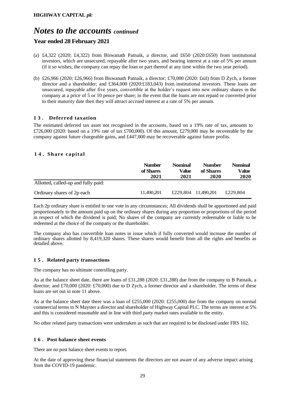## *Notes to the accounts continued*

### **Year ended 28 February 2021**

- (a) £4,322 (2020; £4,322) from Biswanath Patnaik, a director, and £650 (2020:£650) from institutional investors, which are unsecured, repayable after two years, and bearing interest at a rate of 5% per annum (if it so wishes, the company can repay the loan or part thereof at any time within the two year period).
- (b) £26,966 (2020; £26,966) from Biswanath Patnaik, a director; £70,000 (2020: £nil) from D Zych, a former director and a shareholder; and £364,000 (2020:£183,043) from institutional investors. These loans are unsecured, repayable after five years, convertible at the holder's request into new ordinary shares in the company at a price of 5 or 10 pence per share; in the event that the loans are not repaid or converted prior to their maturity date then they will attract accrued interest at a rate of 5% per annum.

#### **13. Deferred taxation**

The estimated deferred tax asset not recognised in the accounts, based on a 19% rate of tax, amounts to  $£726,000$  (2020: based on a 19% rate of tax £700,000). Of this amount, £279,000 may be recoverable by the company against future chargeable gains, and £447,000 may be recoverable against future profits.

#### **14. Share capital**

|                                     | <b>Number</b><br>of Shares<br>2021 | <b>Nominal</b><br>Value<br>2021 | <b>Number</b><br>of Shares<br>2020 | <b>Nominal</b><br>Value<br>2020 |
|-------------------------------------|------------------------------------|---------------------------------|------------------------------------|---------------------------------|
| Allotted, called-up and fully paid: |                                    |                                 |                                    |                                 |
| Ordinary shares of 2p each          | 11.490.201                         | £229,804                        | 11.490.201                         | £229.804                        |

Each 2p ordinary share is entitled to one vote in any circumstances; All dividends shall be apportioned and paid proportionately to the amount paid up on the ordinary shares during any proportion or proportions of the period in respect of which the dividend is paid; No shares of the company are currently redeemable or liable to be redeemed at the choice of the company or the shareholder.

The company also has convertible loan notes in issue which if fully converted would increase the number of ordinary shares allotted by 8,419,320 shares. These shares would benefit from all the rights and benefits as detailed above.

#### **15. Related party transactions**

The company has no ultimate controlling party.

As at the balance sheet date, there are loans of £31,288 (2020: £31,288) due from the company to B Patnaik, a director; and £70,000 (2020: £70,000) due to D Zych, a former director and a shareholder. The terms of these loans are set out in note 11 above.

As at the balance sheet date there was a loan of £255,000 (2020: £255,000) due from the company on normal commercial terms to N Mayster a director and shareholder of Highway Capital PLC. The terms are interest at 5% and this is considered reasonable and in line with third party market rates available to the entity.

No other related party transactions were undertaken as such that are required to be disclosed under FRS 102.

#### **16. Post balance sheet events**

There are no post balance sheet events to report.

At the date of approving these financial statements the directors are not aware of any adverse impact arising from the COVID-19 pandemic.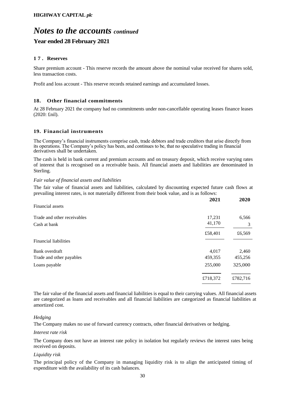## *Notes to the accounts continued* **Year ended 28 February 2021**

#### **17. Reserves**

Share premium account - This reserve records the amount above the nominal value received for shares sold, less transaction costs.

Profit and loss account - This reserve records retained earnings and accumulated losses.

#### **18. Other financial commitments**

At 28 February 2021 the company had no commitments under non-cancellable operating leases finance leases (2020: £nil).

#### **19. Financial instruments**

The Company's financial instruments comprise cash, trade debtors and trade creditors that arise directly from its operations. The Company's policy has been, and continues to be, that no speculative trading in financial derivatives shall be undertaken.

The cash is held in bank current and premium accounts and on treasury deposit, which receive varying rates of interest that is recognised on a receivable basis. All financial assets and liabilities are denominated in Sterling.

#### *Fair value of financial assets and liabilities*

The fair value of financial assets and liabilities, calculated by discounting expected future cash flows at prevailing interest rates, is not materially different from their book value, and is as follows:

|                             | 2021     | 2020     |
|-----------------------------|----------|----------|
| Financial assets            |          |          |
| Trade and other receivables | 17,231   | 6,566    |
| Cash at bank                | 41,170   | 3        |
|                             | £58,401  | £6,569   |
| Financial liabilities       |          |          |
| Bank overdraft              | 4,017    | 2,460    |
| Trade and other payables    | 459,355  | 455,256  |
| Loans payable               | 255,000  | 325,000  |
|                             | £718,372 | £782,716 |

The fair value of the financial assets and financial liabilities is equal to their carrying values. All financial assets are categorized as loans and receivables and all financial liabilities are categorized as financial liabilities at amortized cost.

#### *Hedging*

The Company makes no use of forward currency contracts, other financial derivatives or hedging.

#### *Interest rate risk*

The Company does not have an interest rate policy in isolation but regularly reviews the interest rates being received on deposits.

#### *Liquidity risk*

The principal policy of the Company in managing liquidity risk is to align the anticipated timing of expenditure with the availability of its cash balances.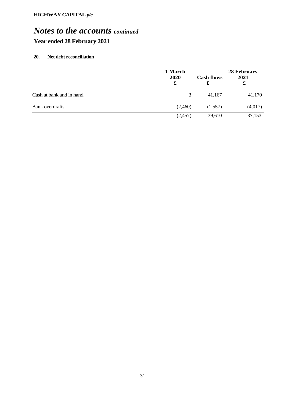## *Notes to the accounts continued* **Year ended 28 February 2021**

#### **20. Net debt reconciliation**

|                          | 1 March<br>2020<br>£ | <b>Cash flows</b><br>£ | 28 February<br>2021<br>£ |
|--------------------------|----------------------|------------------------|--------------------------|
| Cash at bank and in hand | 3                    | 41,167                 | 41,170                   |
| Bank overdrafts          | (2,460)              | (1,557)                | (4,017)                  |
|                          | (2,457)              | 39,610                 | 37,153                   |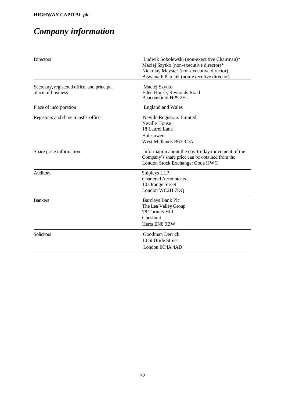# *Company information*

| <b>Directors</b>                                                 | Ludwik Sobolewski (non-executive Chairman)*<br>Maciej Szytko (non-executive director)*<br>Nickolay Mayster (non-executive director)<br>Biswanath Patnaik (non-executive director) |
|------------------------------------------------------------------|-----------------------------------------------------------------------------------------------------------------------------------------------------------------------------------|
| Secretary, registered office, and principal<br>place of business | Maciej Szytko<br>Eden House, Reynolds Road<br>Beaconsfield HP9 2FL                                                                                                                |
| Place of incorporation                                           | <b>England and Wales</b>                                                                                                                                                          |
| Registrars and share transfer office                             | Neville Registrars Limited<br><b>Neville House</b><br>18 Laurel Lane<br>Halesowen<br>West Midlands B63 3DA                                                                        |
| Share price information                                          | Information about the day-to-day movement of the<br>Company's share price can be obtained from the<br>London Stock Exchange: Code HWC                                             |
| <b>Auditors</b>                                                  | Shipleys LLP<br><b>Chartered Accountants</b><br>10 Orange Street<br>London WC2H 7DQ                                                                                               |
| <b>Bankers</b>                                                   | <b>Barclays Bank Plc</b><br>The Lea Valley Group<br><b>78 Turners Hill</b><br>Cheshunt<br>Herts EN8 9BW                                                                           |
| Solicitors                                                       | Goodman Derrick<br>10 St Bride Street<br>London EC4A 4AD                                                                                                                          |